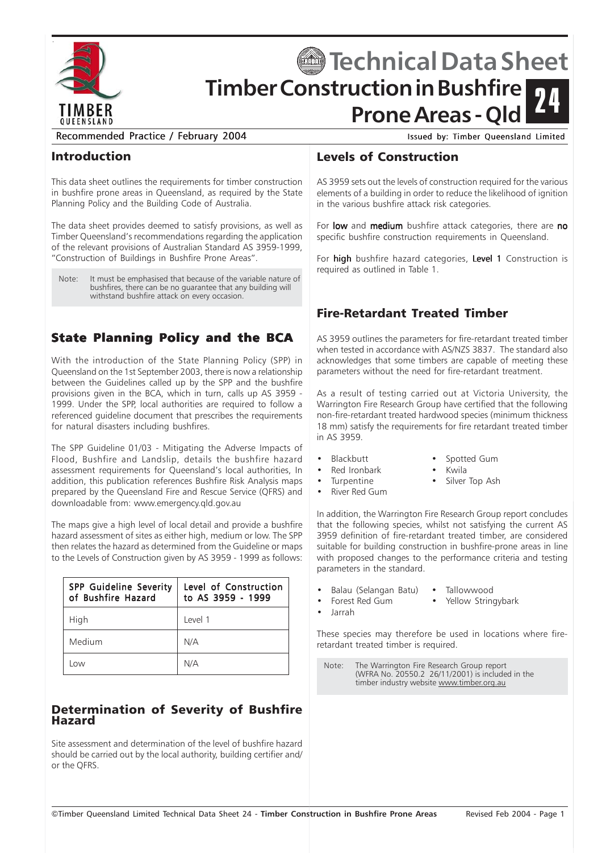

# **Timber Construction in Bushfire Prone Areas - Qld Sechnical Data Sheet** 24

Recommended Practice / February 2004 Issued by: Timber Queensland Limited

#### Introduction

This data sheet outlines the requirements for timber construction in bushfire prone areas in Queensland, as required by the State Planning Policy and the Building Code of Australia.

The data sheet provides deemed to satisfy provisions, as well as Timber Queensland's recommendations regarding the application of the relevant provisions of Australian Standard AS 3959-1999, "Construction of Buildings in Bushfire Prone Areas".

Note: It must be emphasised that because of the variable nature of bushfires, there can be no quarantee that any building will withstand bushfire attack on every occasion.

## State Planning Policy and the BCA

With the introduction of the State Planning Policy (SPP) in Queensland on the 1st September 2003, there is now a relationship between the Guidelines called up by the SPP and the bushfire provisions given in the BCA, which in turn, calls up AS 3959 - 1999. Under the SPP, local authorities are required to follow a referenced guideline document that prescribes the requirements for natural disasters including bushfires.

The SPP Guideline 01/03 - Mitigating the Adverse Impacts of Flood, Bushfire and Landslip, details the bushfire hazard assessment requirements for Queensland's local authorities, In addition, this publication references Bushfire Risk Analysis maps prepared by the Queensland Fire and Rescue Service (QFRS) and downloadable from: www.emergency.qld.gov.au

The maps give a high level of local detail and provide a bushfire hazard assessment of sites as either high, medium or low. The SPP then relates the hazard as determined from the Guideline or maps to the Levels of Construction given by AS 3959 - 1999 as follows:

| <b>SPP Guideline Severity</b><br>of Bushfire Hazard | Level of Construction<br>to AS 3959 - 1999 |
|-----------------------------------------------------|--------------------------------------------|
| High                                                | Level 1                                    |
| Medium                                              | N/A                                        |
| ONN                                                 | N/A                                        |

#### Determination of Severity of Bushfire Hazard

Site assessment and determination of the level of bushfire hazard should be carried out by the local authority, building certifier and/ or the QFRS.

#### Levels of Construction

AS 3959 sets out the levels of construction required for the various elements of a building in order to reduce the likelihood of ignition in the various bushfire attack risk categories.

For low and medium bushfire attack categories, there are no specific bushfire construction requirements in Queensland.

For high bushfire hazard categories, Level 1 Construction is required as outlined in Table 1.

### Fire-Retardant Treated Timber

AS 3959 outlines the parameters for fire-retardant treated timber when tested in accordance with AS/NZS 3837. The standard also acknowledges that some timbers are capable of meeting these parameters without the need for fire-retardant treatment.

As a result of testing carried out at Victoria University, the Warrington Fire Research Group have certified that the following non-fire-retardant treated hardwood species (minimum thickness 18 mm) satisfy the requirements for fire retardant treated timber in AS 3959.

- Blackbutt Spotted Gum
- Red Ironbark Kwila
- 
- Turpentine Silver Top Ash
- River Red Gum
- In addition, the Warrington Fire Research Group report concludes that the following species, whilst not satisfying the current AS 3959 definition of fire-retardant treated timber, are considered suitable for building construction in bushfire-prone areas in line with proposed changes to the performance criteria and testing parameters in the standard.
- Balau (Selangan Batu) Tallowwood
	- Forest Red Gum Yellow Stringybark
- Jarrah

These species may therefore be used in locations where fireretardant treated timber is required.

Note: The Warrington Fire Research Group report (WFRA No. 20550.2 26/11/2001) is included in the timber industry website www.timber.org.au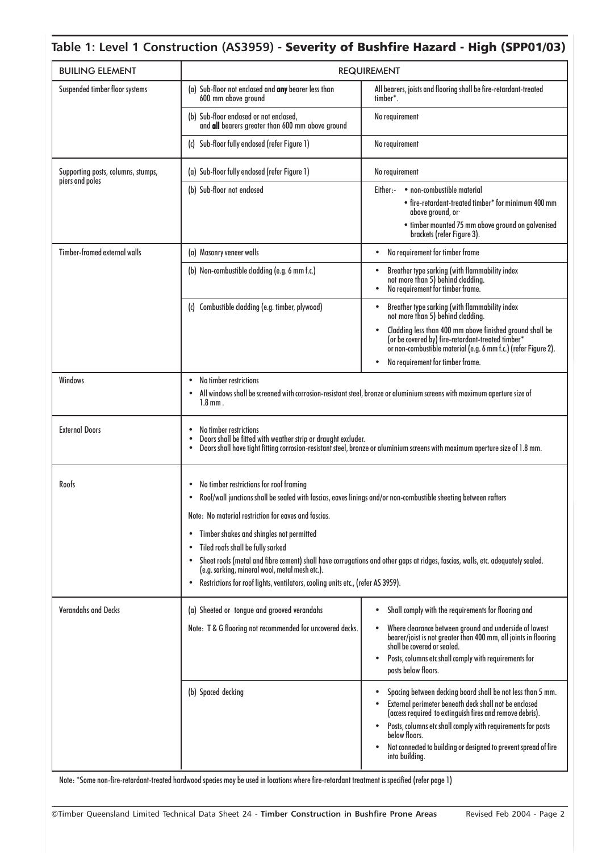#### **Table 1: Level 1 Construction (AS3959) -** Severity of Bushfire Hazard - High (SPP01/03)

| <b>BUILING ELEMENT</b>                                | <b>REQUIREMENT</b>                                                                                                                                                                                                                                                                                                                                                                                                                                                                                                                                                                                                     |                                                                                                                                                                                                                                                                                                                                                           |
|-------------------------------------------------------|------------------------------------------------------------------------------------------------------------------------------------------------------------------------------------------------------------------------------------------------------------------------------------------------------------------------------------------------------------------------------------------------------------------------------------------------------------------------------------------------------------------------------------------------------------------------------------------------------------------------|-----------------------------------------------------------------------------------------------------------------------------------------------------------------------------------------------------------------------------------------------------------------------------------------------------------------------------------------------------------|
| Suspended timber floor systems                        | (a) Sub-floor not enclosed and any bearer less than<br>600 mm above ground                                                                                                                                                                                                                                                                                                                                                                                                                                                                                                                                             | All bearers, joists and flooring shall be fire-retardant-treated<br>timber <sup>*</sup> .                                                                                                                                                                                                                                                                 |
|                                                       | (b) Sub-floor enclosed or not enclosed,<br>and all bearers greater than 600 mm above ground                                                                                                                                                                                                                                                                                                                                                                                                                                                                                                                            | No requirement                                                                                                                                                                                                                                                                                                                                            |
|                                                       | (c) Sub-floor fully enclosed (refer Figure 1)                                                                                                                                                                                                                                                                                                                                                                                                                                                                                                                                                                          | No requirement                                                                                                                                                                                                                                                                                                                                            |
| Supporting posts, columns, stumps,<br>piers and poles | (a) Sub-floor fully enclosed (refer Figure 1)                                                                                                                                                                                                                                                                                                                                                                                                                                                                                                                                                                          | No requirement                                                                                                                                                                                                                                                                                                                                            |
|                                                       | (b) Sub-floor not enclosed                                                                                                                                                                                                                                                                                                                                                                                                                                                                                                                                                                                             | Either:- • non-combustible material<br>• fire-retardant-treated timber* for minimum 400 mm<br>above ground, or-<br>• timber mounted 75 mm above ground on galvanised<br>brackets (refer Figure 3).                                                                                                                                                        |
| Timber-framed external walls                          | (a) Masonry veneer walls                                                                                                                                                                                                                                                                                                                                                                                                                                                                                                                                                                                               | No requirement for timber frame<br>$\bullet$                                                                                                                                                                                                                                                                                                              |
|                                                       | (b) Non-combustible cladding (e.g. 6 mm f.c.)                                                                                                                                                                                                                                                                                                                                                                                                                                                                                                                                                                          | Breather type sarking (with flammability index<br>not more than 5) behind cladding.<br>No requirement for timber frame.                                                                                                                                                                                                                                   |
|                                                       | (c) Combustible cladding (e.g. timber, plywood)                                                                                                                                                                                                                                                                                                                                                                                                                                                                                                                                                                        | Breather type sarking (with flammability index<br>not more than 5) behind cladding.<br>Cladding less than 400 mm above finished ground shall be<br>(or be covered by) fire-retardant-treated timber*<br>or non-combustible material (e.g. 6 mm f.c.) (refer Figure 2).<br>No requirement for timber frame.                                                |
| Windows                                               | No timber restrictions<br>$\bullet$<br>All windows shall be screened with corrosion-resistant steel, bronze or aluminium screens with maximum aperture size of<br>$1.8$ mm.                                                                                                                                                                                                                                                                                                                                                                                                                                            |                                                                                                                                                                                                                                                                                                                                                           |
| <b>External Doors</b>                                 | No timber restrictions<br>Doors shall be fitted with weather strip or draught excluder.<br>Doors shall have tight fitting corrosion-resistant steel, bronze or aluminium screens with maximum aperture size of 1.8 mm.                                                                                                                                                                                                                                                                                                                                                                                                 |                                                                                                                                                                                                                                                                                                                                                           |
| Roofs                                                 | No timber restrictions for roof framing<br>Roof/wall junctions shall be sealed with fascias, eaves linings and/or non-combustible sheeting between rafters<br>٠<br>Note: No material restriction for eaves and fascias.<br>Timber shakes and shingles not permitted<br>$\bullet$<br>Tiled roofs shall be fully sarked<br>Sheet roofs (metal and fibre cement) shall have corrugations and other gaps at ridges, fascias, walls, etc. adequately sealed.<br>$\bullet$<br>(e.g. sarking, mineral wool, metal mesh etc.).<br>Restrictions for roof lights, ventilators, cooling units etc., (refer AS 3959).<br>$\bullet$ |                                                                                                                                                                                                                                                                                                                                                           |
| <b>Verandahs and Decks</b>                            | (a) Sheeted or tongue and grooved verandahs<br>Note: T & G flooring not recommended for uncovered decks.                                                                                                                                                                                                                                                                                                                                                                                                                                                                                                               | Shall comply with the requirements for flooring and<br>٠<br>Where clearance between ground and underside of lowest<br>$\bullet$<br>bearer/joist is not greater than 400 mm, all joints in flooring<br>shall be covered or sealed.<br>Posts, columns etc shall comply with requirements for<br>$\bullet$<br>posts below floors.                            |
|                                                       | (b) Spaced decking                                                                                                                                                                                                                                                                                                                                                                                                                                                                                                                                                                                                     | Spacing between decking board shall be not less than 5 mm.<br>External perimeter beneath deck shall not be enclosed<br>(access required to extinguish fires and remove debris).<br>Posts, columns etc shall comply with requirements for posts<br>below floors.<br>Not connected to building or designed to prevent spread of fire<br>٠<br>into building. |

Note: \*Some non-fire-retardant-treated hardwood species may be used in locations where fire-retardant treatment is specified (refer page 1)